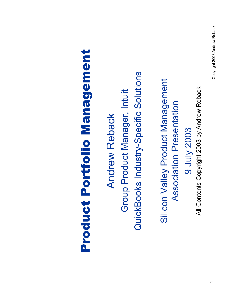All Contents Copyright 2003 by Andrew Reback All Contents Copyright 2003 by Andrew Reback9 July 2003 9 July 2003

Silicon Valley Product Management Silicon Valley Product Management Association Presentation Association Presentation

Product Portfolio Management

**Product Portfolio Management** 

Andrew Reback

**Andrew Reback** 

Group Product Manager, Intuit

Group Product Manager, Intuit

QuickBooks Industry-Specific Solutions

QuickBooks Industry-Specific Solutions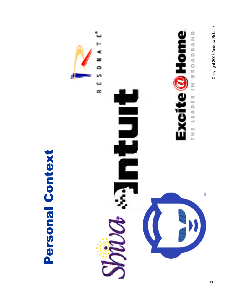Personal Context Personal Context



Copyright 2003 Andrew Reback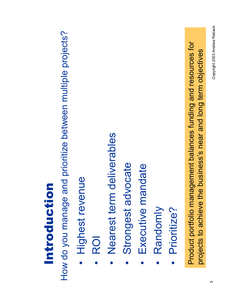## Introduction Introduction

How do you manage and prioritize between multiple projects? How do you manage and prioritize between multiple projects?

- Highest revenue • Highest revenue
- ROI
- Nearest term deliverables • Nearest term deliverables
- Strongest advocate • Strongest advocate
- Executive mandate • Executive mandate
- Randomly • Randomly
- Prioritize? • Prioritize?

Product portfolio management balances funding and resources for Product portfolio management balances funding and resources for projects to achieve the business's near and long term objectives projects to achieve the business's near and long term objectives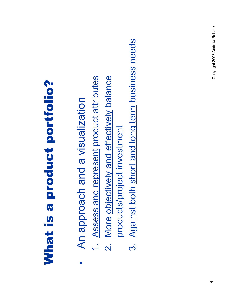## **What is a product portfolio?** What is a product portfolio?

- An approach and a visualization • An approach and a visualization
- Assess and represent product attributes 1. Assess and represent product attributes
- 2. More objectively and effectively balance More objectively and effectively balance  $\overline{a}$ 
	- products/project investment products/project investment
- Against both short and long term business needs 3. Against both short and long term business needsက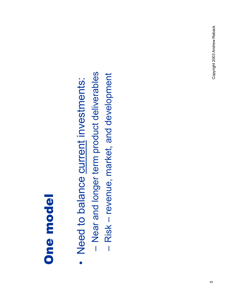#### **One model** One model

- Need to balance current investments: • Need to balance current investments:  $\bullet$
- Near and longer term product deliverables – Near and longer term product deliverables
- Risk revenue, market, and development – Risk – revenue, market, and development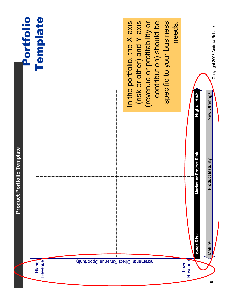| Copyright 2003 Andrew Reback<br>New Offerings           | <b>Product Maturity</b>     | Mature     |                                        |
|---------------------------------------------------------|-----------------------------|------------|----------------------------------------|
| Higher Risk                                             | et or Project Risk<br>Marke | Lower Risk | <b>Revenue</b>                         |
| needs.                                                  |                             |            | Lower                                  |
| specific to your business                               |                             |            |                                        |
| (revenue or profitability or<br>contribution) should be |                             |            |                                        |
| (risk or other) and Y-axis                              |                             |            |                                        |
| In the portfolio, the X-axis                            |                             |            |                                        |
|                                                         |                             |            |                                        |
|                                                         |                             |            | Incremental Direct Revenue Opportunity |
|                                                         |                             |            |                                        |
| <b>Template</b>                                         |                             |            | Higher<br>Revenue                      |
| Portfolio                                               |                             |            |                                        |

**Product Portfolio Template**

Product Portfolio Template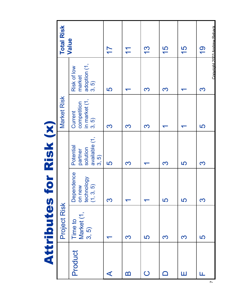**Attributes for Risk (x)** Attributes for Risk (x)

|                      | Project Risk                   |                                                 | ◢                                                         | <b>Market Risk</b>                                                                            |                                               | <b>Total Risk</b>                              |
|----------------------|--------------------------------|-------------------------------------------------|-----------------------------------------------------------|-----------------------------------------------------------------------------------------------|-----------------------------------------------|------------------------------------------------|
| Product              | Market (1,<br>3, 5)<br>Time to | Dependence<br>on new<br>technology<br>(1, 3, 5) | available (1,<br>Potential<br>solution<br>partner<br>3,5) | $\begin{array}{c} \text{composition} \\ \text{in market (1,} \\ 3, 5) \end{array}$<br>Current | adoption $(1, 3, 5)$<br>Risk of low<br>market | Value                                          |
| $\blacktriangleleft$ |                                | S                                               | 5                                                         | S                                                                                             | 5                                             | $\overline{1}$                                 |
| B                    | S                              | $\blacktriangledown$                            | S                                                         | 3                                                                                             |                                               | $\mathbf{\overline{1}}$                        |
| $\bigcirc$           | 5                              | $\blacktriangledown$                            | $\blacktriangledown$                                      | S                                                                                             | <u>က</u>                                      | <u>က</u>                                       |
| $\mathsf{\Omega}$    | S                              | 5                                               | S                                                         | ↽                                                                                             | S                                             | <b>57</b>                                      |
| Ш                    | S                              | 5                                               | 5                                                         | ┯                                                                                             | ᡪ                                             | 15                                             |
| Ш                    | 5                              | <u>S</u>                                        | <u>S</u>                                                  | 5                                                                                             | <u>က</u>                                      | Copyright 2003 Andrew Reback<br>$\overline{O}$ |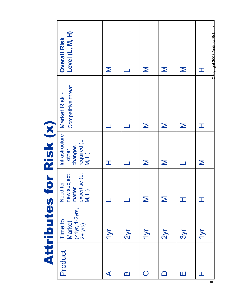**Attributes for Risk (x)** Attributes for Risk (x)

|                      | フリンション                                                  | $\overline{\phantom{0}}$<br>J.                             | <b>CONTRACTOR</b>                                                                                                               |                                                                     |                                                                                                                            |
|----------------------|---------------------------------------------------------|------------------------------------------------------------|---------------------------------------------------------------------------------------------------------------------------------|---------------------------------------------------------------------|----------------------------------------------------------------------------------------------------------------------------|
| Product              | $($ < 1 yr, 1 - 2 yrs,<br>2 + yrs)<br>Time to<br>Market | expertise (L,<br>new subject<br>Need for<br>matter<br>M, H | Infrastructure<br>required (L,<br>M, H)<br>changes<br>+ other                                                                   | Competitive threat<br>Market Risk -                                 | Level (L, M, H)<br><b>Overall Risk</b>                                                                                     |
| $\blacktriangleleft$ | 1yr                                                     |                                                            | $\top$                                                                                                                          |                                                                     | $\mathsf{\Sigma}% _{M_{1},M_{2}}^{\alpha,\beta}(\mathbf{X};\omega)$                                                        |
| $\mathbf{\Omega}$    | 2y <sub>r</sub>                                         |                                                            |                                                                                                                                 |                                                                     |                                                                                                                            |
| $\bigcirc$           | 1yr                                                     | $\mathsf{\Sigma}$                                          | $\mathsf{\Sigma}% _{M_{1},M_{2}}^{\alpha,\beta}(\mathbf{X};z)=\mathsf{\Sigma}_{M_{1},M_{2},M_{2}}^{\alpha,\beta}(\mathbf{X};z)$ | $\mathsf{\Sigma}$                                                   | $\mathsf{\Sigma}% _{M_{1},M_{2}}^{\alpha,\beta}(\mathbf{X};z)=\mathsf{\Omega }_{M_{1},M_{2}}^{\alpha,\beta}(\mathbf{X};z)$ |
| $\Box$               | 2y <sub>r</sub>                                         | $\mathsf{\Sigma}$                                          | $\mathsf{\Sigma}$                                                                                                               | $\geq$                                                              | $\mathsf{\Sigma}$                                                                                                          |
| Ш                    | 3yr                                                     | H                                                          |                                                                                                                                 | $\mathsf{\Sigma}% _{M_{1},M_{2}}^{\alpha,\beta}(\mathbf{X};\omega)$ | $\mathsf{\Sigma}$                                                                                                          |
| Щ                    | <b>TVr</b>                                              | H                                                          | $\mathsf{\Sigma}$                                                                                                               | 工                                                                   | <del>Copyright 2002 Androw Roback</del><br>I                                                                               |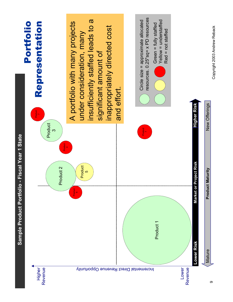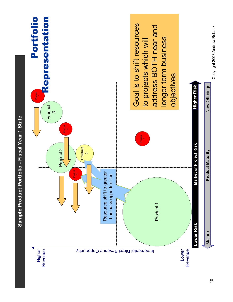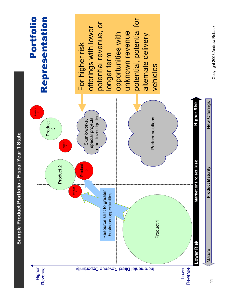

Sample Product Portfolio - Fiscal Year 1 State **Sample Product Portfolio - Fiscal Year 1 State**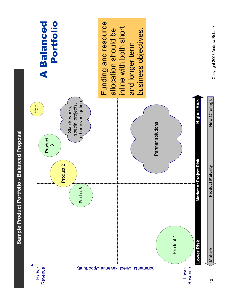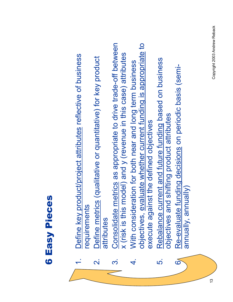- 1. Define key product/project attributes reflective of business Define key product/project attributes reflective of business requirements requirements
	- 2. Define metrics (qualitative or quantitative) for key product Define metrics (qualitative or quantitative) for key product attributes attributes  $\overline{\mathsf{N}}$
- 3. Consolidate metrics as appropriate to drive trade-off between Consolidate metrics as appropriate to drive trade-off between x (risk is this model) and y (revenue in this case) attributes x (risk is this model) and y (revenue in this case) attributes က
- objectives, evaluate whether current funding is appropriate to objectives, evaluate whether current funding is appropriate to 4. With consideration for both near and long term business With consideration for both near and long term business execute against the defined objectives execute against the defined objectives  $\vec{r}$
- 5. Rebalance current and future funding based on business Rebalance current and future funding based on business objectives and shifting product attributes objectives and shifting product attributes <u>ທ່</u>  $\overline{\mathbf{6}}$ 
	- Re-evaluate funding decisions on periodic basis (semi- $6<sub>A</sub>$  Re-evaluate funding decisions on periodic basis (semiannually, annually) annually, annually)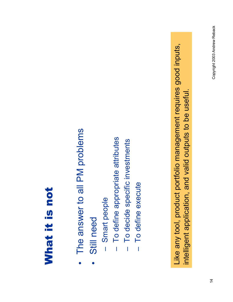### What it is not What it is not

- The answer to all PM problems • The answer to all PM problems
- Still need • Still need
- Smart people – Smart people  $\overline{\mathbf{I}}$
- To define appropriate attributes – To define appropriate attributes Ï
- To decide specific investments – To decide specific investments  $\overline{1}$
- To define execute To define execute

Like any tool, product portfolio management requires good inputs, Like any tool, product portfolio management requires good inputs, intelligent application, and valid outputs to be useful. intelligent application, and valid outputs to be useful.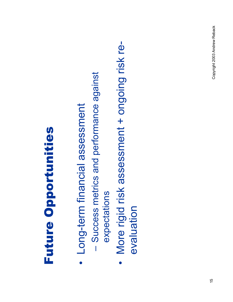## **Future Opportunities** Future Opportunities

- Long-term financial assessment • Long-term financial assessment
- Success metrics and performance against - Success metrics and performance against expectations expectations
- More rigid risk assessment + ongoing risk re-• More rigid risk assessment + ongoing risk reevaluation evaluation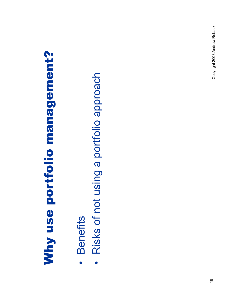# Why use portfolio management? Why use portfolio management?

- **Benefits** • Benefits  $\bullet$
- Risks of not using a portfolio approach • Risks of not using a portfolio approach $\bullet$